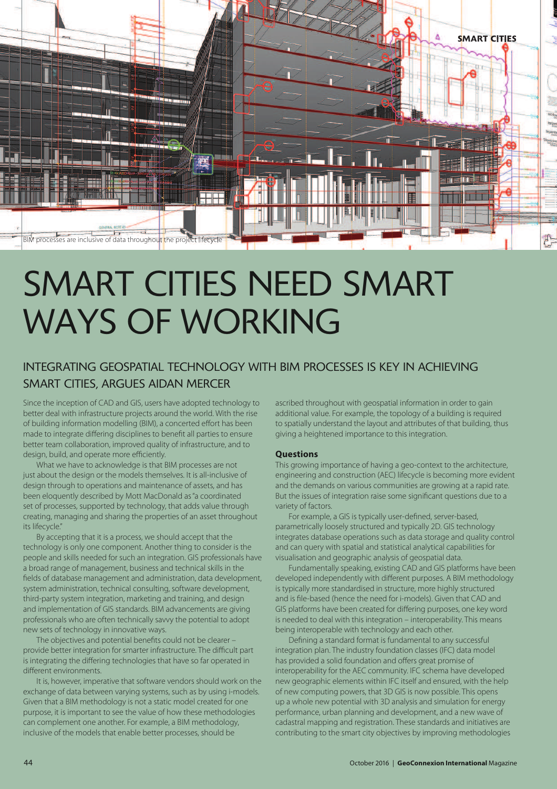

# SMART CITIES NEED SMART WAYS OF WORKING

### INTEGRATING GEOSPATIAL TECHNOLOGY WITH BIM PROCESSES IS KEY IN ACHIEVING SMART CITIES, ARGUES AIDAN MERCER

Since the inception of CAD and GIS, users have adopted technology to better deal with infrastructure projects around the world. With the rise of building information modelling (BIM), a concerted effort has been made to integrate differing disciplines to benefit all parties to ensure better team collaboration, improved quality of infrastructure, and to design, build, and operate more efficiently.

What we have to acknowledge is that BIM processes are not just about the design or the models themselves. It is all-inclusive of design through to operations and maintenance of assets, and has been eloquently described by Mott MacDonald as"a coordinated set of processes, supported by technology, that adds value through creating, managing and sharing the properties of an asset throughout its lifecycle."

By accepting that it is a process, we should accept that the technology is only one component. Another thing to consider is the people and skills needed for such an integration. GIS professionals have a broad range of management, business and technical skills in the fields of database management and administration, data development, system administration, technical consulting, software development, third-party system integration, marketing and training, and design and implementation of GIS standards. BIM advancements are giving professionals who are often technically savvy the potential to adopt new sets of technology in innovative ways.

The objectives and potential benefits could not be clearer  $$ provide better integration for smarter infrastructure. The difficult part is integrating the differing technologies that have so far operated in different environments.

It is, however, imperative that software vendors should work on the exchange of data between varying systems, such as by using i-models. Given that a BIM methodology is not a static model created for one purpose, it is important to see the value of how these methodologies can complement one another. For example, a BIM methodology, inclusive of the models that enable better processes, should be

ascribed throughout with geospatial information in order to gain additional value. For example, the topology of a building is required to spatially understand the layout and attributes of that building, thus giving a heightened importance to this integration.

#### **Questions**

This growing importance of having a geo-context to the architecture, engineering and construction (AEC) lifecycle is becoming more evident and the demands on various communities are growing at a rapid rate. But the issues of integration raise some significant questions due to a variety of factors.

For example, a GIS is typically user-defined, server-based, parametrically loosely structured and typically 2D. GIS technology integrates database operations such as data storage and quality control and can query with spatial and statistical analytical capabilities for visualisation and geographic analysis of geospatial data.

Fundamentally speaking, existing CAD and GIS platforms have been developed independently with different purposes. A BIM methodology is typically more standardised in structure, more highly structured and is file-based (hence the need for i-models). Given that CAD and GIS platforms have been created for differing purposes, one key word is needed to deal with this integration – interoperability. This means being interoperable with technology and each other.

Defining a standard format is fundamental to any successful integration plan. The industry foundation classes (IFC) data model has provided a solid foundation and offers great promise of interoperability for the AEC community. IFC schema have developed new geographic elements within IFC itself and ensured, with the help of new computing powers, that 3D GIS is now possible. This opens up a whole new potential with 3D analysis and simulation for energy performance, urban planning and development, and a new wave of cadastral mapping and registration. These standards and initiatives are contributing to the smart city objectives by improving methodologies